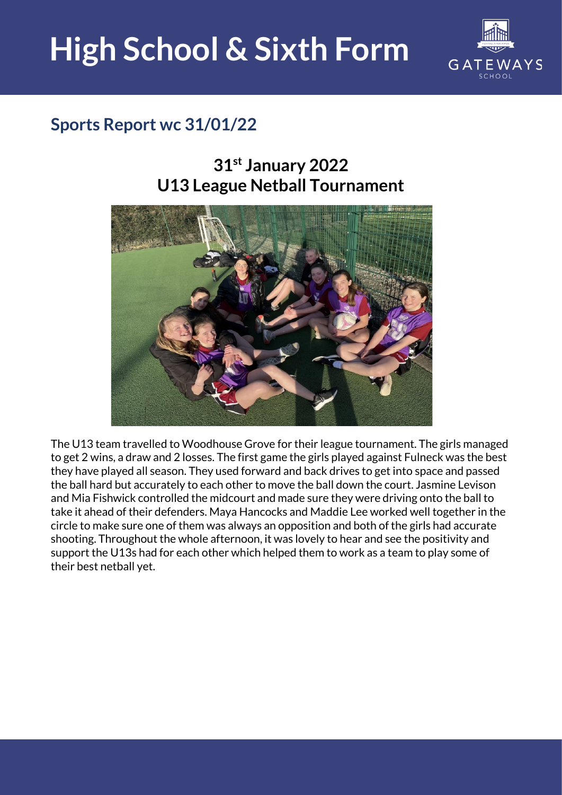

### **Sports Report wc 31/01/22**

#### **31st January 2022 U13 League Netball Tournament**



The U13 team travelled to Woodhouse Grove for their league tournament. The girls managed to get 2 wins, a draw and 2 losses. The first game the girls played against Fulneck was the best they have played all season. They used forward and back drives to get into space and passed the ball hard but accurately to each other to move the ball down the court. Jasmine Levison and Mia Fishwick controlled the midcourt and made sure they were driving onto the ball to take it ahead of their defenders. Maya Hancocks and Maddie Lee worked well together in the circle to make sure one of them was always an opposition and both of the girls had accurate shooting. Throughout the whole afternoon, it was lovely to hear and see the positivity and support the U13s had for each other which helped them to work as a team to play some of their best netball yet.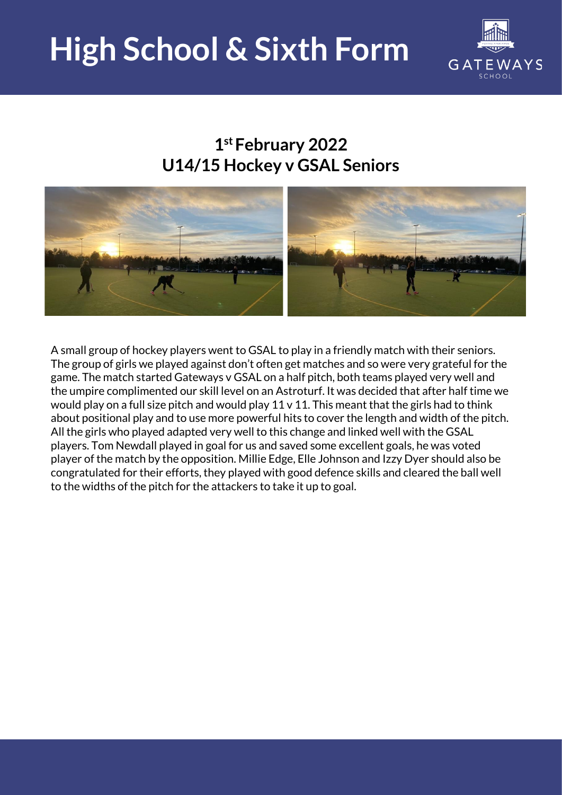

#### **1 st February 2022 U14/15 Hockey v GSAL Seniors**



A small group of hockey players went to GSAL to play in a friendly match with their seniors. The group of girls we played against don't often get matches and so were very grateful for the game. The match started Gateways v GSAL on a half pitch, both teams played very well and the umpire complimented our skill level on an Astroturf. It was decided that after half time we would play on a full size pitch and would play  $11 \vee 11$ . This meant that the girls had to think about positional play and to use more powerful hits to cover the length and width of the pitch. All the girls who played adapted very well to this change and linked well with the GSAL players. Tom Newdall played in goal for us and saved some excellent goals, he was voted player of the match by the opposition. Millie Edge, Elle Johnson and Izzy Dyer should also be congratulated for their efforts, they played with good defence skills and cleared the ball well to the widths of the pitch for the attackers to take it up to goal.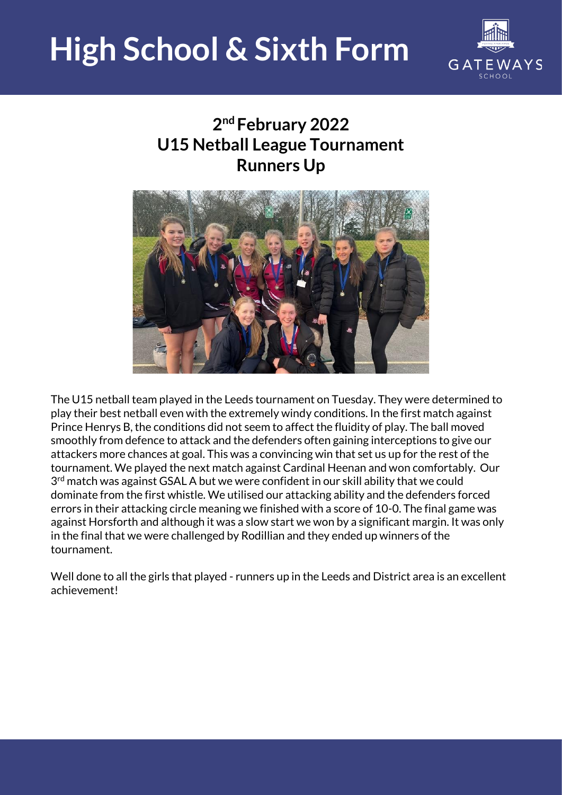

### **2 nd February 2022 U15 Netball League Tournament Runners Up**



The U15 netball team played in the Leeds tournament on Tuesday. They were determined to play their best netball even with the extremely windy conditions. In the first match against Prince Henrys B, the conditions did not seem to affect the fluidity of play. The ball moved smoothly from defence to attack and the defenders often gaining interceptions to give our attackers more chances at goal. This was a convincing win that set us up for the rest of the tournament. We played the next match against Cardinal Heenan and won comfortably. Our 3<sup>rd</sup> match was against GSAL A but we were confident in our skill ability that we could dominate from the first whistle. We utilised our attacking ability and the defenders forced errors in their attacking circle meaning we finished with a score of 10-0. The final game was against Horsforth and although it was a slow start we won by a significant margin. It was only in the final that we were challenged by Rodillian and they ended up winners of the tournament.

Well done to all the girls that played - runners up in the Leeds and District area is an excellent achievement!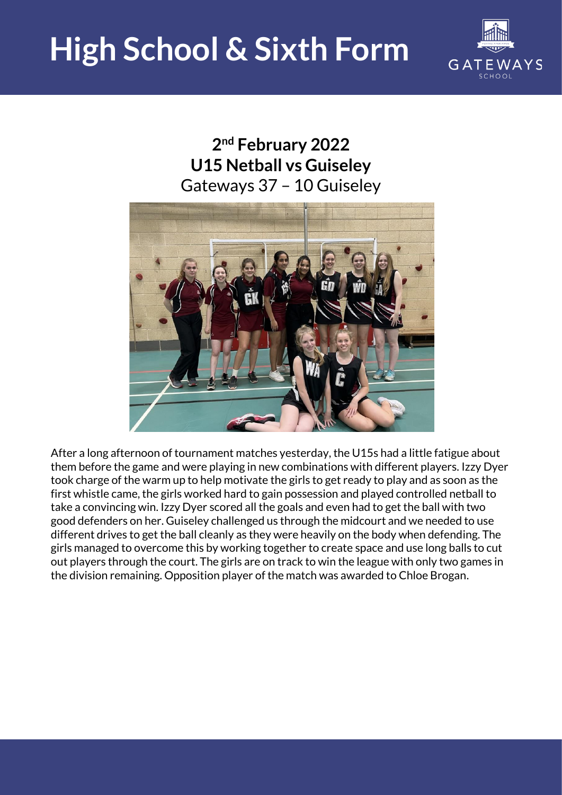

#### **2 nd February 2022 U15 Netball vs Guiseley**  Gateways 37 – 10 Guiseley



After a long afternoon of tournament matches yesterday, the U15s had a little fatigue about them before the game and were playing in new combinations with different players. Izzy Dyer took charge of the warm up to help motivate the girls to get ready to play and as soon as the first whistle came, the girls worked hard to gain possession and played controlled netball to take a convincing win. Izzy Dyer scored all the goals and even had to get the ball with two good defenders on her. Guiseley challenged us through the midcourt and we needed to use different drives to get the ball cleanly as they were heavily on the body when defending. The girls managed to overcome this by working together to create space and use long balls to cut out players through the court. The girls are on track to win the league with only two games in the division remaining. Opposition player of the match was awarded to Chloe Brogan.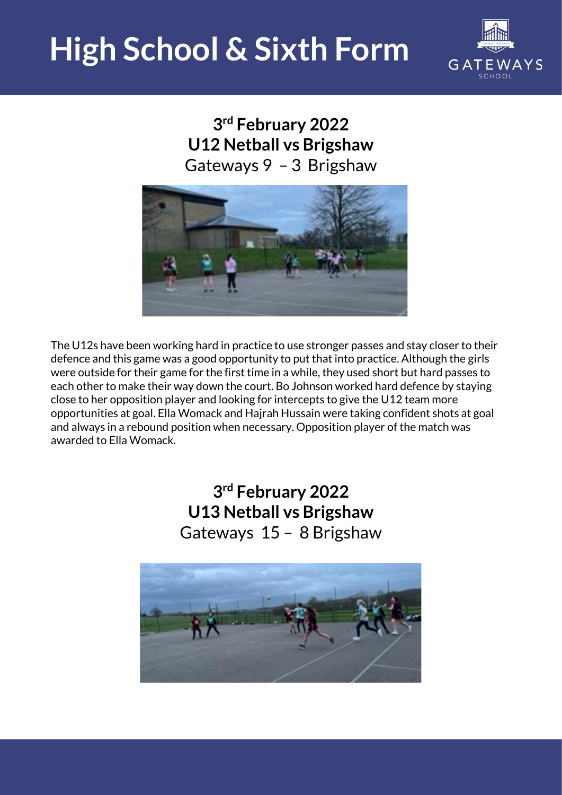

**3 rd February 2022 U12 Netball vs Brigshaw**  Gateways 9 – 3 Brigshaw



The U12s have been working hard in practice to use stronger passes and stay closer to their defence and this game was a good opportunity to put that into practice. Although the girls were outside for their game for the first time in a while, they used short but hard passes to each other to make their way down the court. Bo Johnson worked hard defence by staying close to her opposition player and looking for intercepts to give the U12 team more opportunities at goal. Ella Womack and Hajrah Hussain were taking confident shots at goal and always in a rebound position when necessary. Opposition player of the match was awarded to Ella Womack.

> **3 rd February 2022 U13 Netball vs Brigshaw** Gateways 15 – 8 Brigshaw